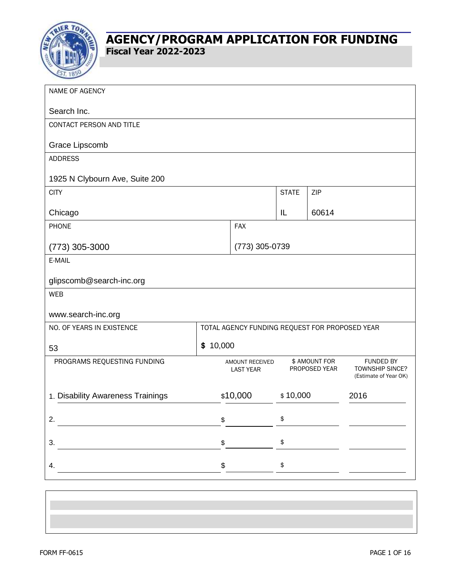

| NAME OF AGENCY                    |            |                                                |                                |       |                                                              |  |  |
|-----------------------------------|------------|------------------------------------------------|--------------------------------|-------|--------------------------------------------------------------|--|--|
| Search Inc.                       |            |                                                |                                |       |                                                              |  |  |
| CONTACT PERSON AND TITLE          |            |                                                |                                |       |                                                              |  |  |
| Grace Lipscomb                    |            |                                                |                                |       |                                                              |  |  |
| <b>ADDRESS</b>                    |            |                                                |                                |       |                                                              |  |  |
| 1925 N Clybourn Ave, Suite 200    |            |                                                |                                |       |                                                              |  |  |
| <b>CITY</b>                       |            |                                                | <b>STATE</b>                   | ZIP   |                                                              |  |  |
| Chicago                           |            |                                                | IL                             | 60614 |                                                              |  |  |
| <b>PHONE</b>                      | <b>FAX</b> |                                                |                                |       |                                                              |  |  |
| (773) 305-3000                    |            | (773) 305-0739                                 |                                |       |                                                              |  |  |
| E-MAIL                            |            |                                                |                                |       |                                                              |  |  |
| glipscomb@search-inc.org          |            |                                                |                                |       |                                                              |  |  |
| <b>WEB</b>                        |            |                                                |                                |       |                                                              |  |  |
| www.search-inc.org                |            |                                                |                                |       |                                                              |  |  |
| NO. OF YEARS IN EXISTENCE         |            | TOTAL AGENCY FUNDING REQUEST FOR PROPOSED YEAR |                                |       |                                                              |  |  |
| \$10,000<br>53                    |            |                                                |                                |       |                                                              |  |  |
| PROGRAMS REQUESTING FUNDING       |            | AMOUNT RECEIVED<br><b>LAST YEAR</b>            | \$ AMOUNT FOR<br>PROPOSED YEAR |       | <b>FUNDED BY</b><br>TOWNSHIP SINCE?<br>(Estimate of Year OK) |  |  |
| 1. Disability Awareness Trainings | \$10,000   | \$10,000                                       |                                | 2016  |                                                              |  |  |
| 2.                                | \$         |                                                | \$                             |       |                                                              |  |  |
| 3.                                | \$         |                                                | \$                             |       |                                                              |  |  |
| 4.                                | \$         |                                                | $\, \, \$$                     |       |                                                              |  |  |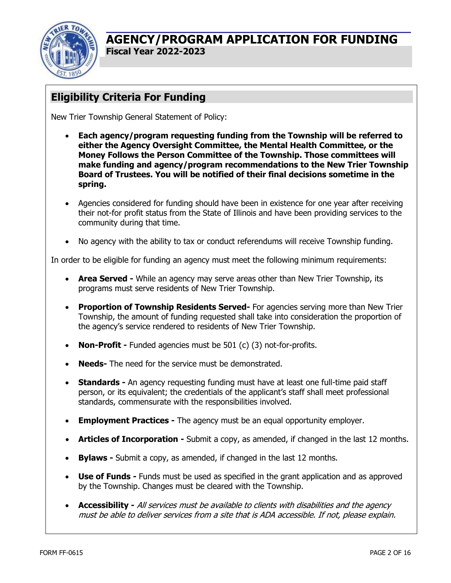

# **Eligibility Criteria For Funding**

New Trier Township General Statement of Policy:

- **Each agency/program requesting funding from the Township will be referred to either the Agency Oversight Committee, the Mental Health Committee, or the Money Follows the Person Committee of the Township. Those committees will make funding and agency/program recommendations to the New Trier Township Board of Trustees. You will be notified of their final decisions sometime in the spring.**
- Agencies considered for funding should have been in existence for one year after receiving their not-for profit status from the State of Illinois and have been providing services to the community during that time.
- No agency with the ability to tax or conduct referendums will receive Township funding.

In order to be eligible for funding an agency must meet the following minimum requirements:

- **Area Served -** While an agency may serve areas other than New Trier Township, its programs must serve residents of New Trier Township.
- **Proportion of Township Residents Served-** For agencies serving more than New Trier Township, the amount of funding requested shall take into consideration the proportion of the agency's service rendered to residents of New Trier Township.
- **Non-Profit -** Funded agencies must be 501 (c) (3) not-for-profits.
- **Needs-** The need for the service must be demonstrated.
- **Standards -** An agency requesting funding must have at least one full-time paid staff person, or its equivalent; the credentials of the applicant's staff shall meet professional standards, commensurate with the responsibilities involved.
- **Employment Practices -** The agency must be an equal opportunity employer.
- **Articles of Incorporation -** Submit a copy, as amended, if changed in the last 12 months.
- **Bylaws -** Submit a copy, as amended, if changed in the last 12 months.
- **Use of Funds -** Funds must be used as specified in the grant application and as approved by the Township. Changes must be cleared with the Township.
- **Accessibility -** All services must be available to clients with disabilities and the agency must be able to deliver services from a site that is ADA accessible. If not, please explain.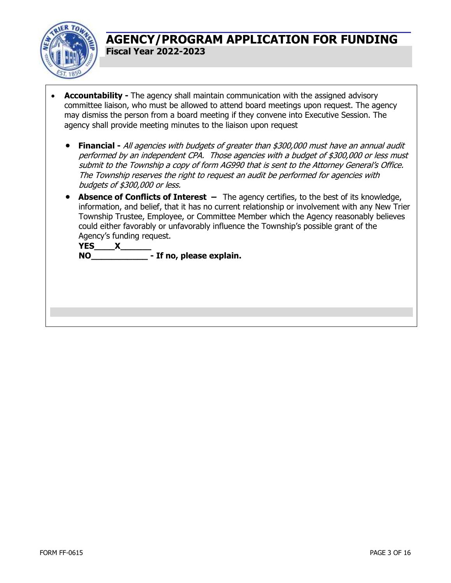

- **Accountability -** The agency shall maintain communication with the assigned advisory committee liaison, who must be allowed to attend board meetings upon request. The agency may dismiss the person from a board meeting if they convene into Executive Session. The agency shall provide meeting minutes to the liaison upon request
	- **Financial -** All agencies with budgets of greater than \$300,000 must have an annual audit performed by an independent CPA. Those agencies with a budget of \$300,000 or less must submit to the Township a copy of form AG990 that is sent to the Attorney General's Office. The Township reserves the right to request an audit be performed for agencies with budgets of \$300,000 or less.
	- **Absence of Conflicts of Interest –** The agency certifies, to the best of its knowledge, information, and belief, that it has no current relationship or involvement with any New Trier Township Trustee, Employee, or Committee Member which the Agency reasonably believes could either favorably or unfavorably influence the Township's possible grant of the Agency's funding request.

**YES\_\_\_\_X\_\_\_\_\_\_ NO\_\_\_\_\_\_\_\_\_\_\_ - If no, please explain.**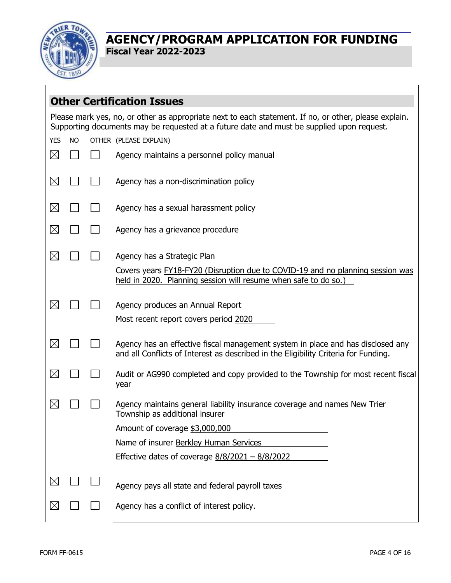

 $\sqrt{ }$ 

### **AGENCY/PROGRAM APPLICATION FOR FUNDING Fiscal Year 2022-2023**

|             |           | <b>Other Certification Issues</b>                                                                                                                                                                  |  |  |  |  |  |  |  |
|-------------|-----------|----------------------------------------------------------------------------------------------------------------------------------------------------------------------------------------------------|--|--|--|--|--|--|--|
|             |           | Please mark yes, no, or other as appropriate next to each statement. If no, or other, please explain.<br>Supporting documents may be requested at a future date and must be supplied upon request. |  |  |  |  |  |  |  |
| <b>YES</b>  | <b>NO</b> | OTHER (PLEASE EXPLAIN)                                                                                                                                                                             |  |  |  |  |  |  |  |
| $\boxtimes$ |           | Agency maintains a personnel policy manual                                                                                                                                                         |  |  |  |  |  |  |  |
| $\boxtimes$ |           | Agency has a non-discrimination policy                                                                                                                                                             |  |  |  |  |  |  |  |
| $\boxtimes$ |           | Agency has a sexual harassment policy                                                                                                                                                              |  |  |  |  |  |  |  |
| $\times$    |           | Agency has a grievance procedure                                                                                                                                                                   |  |  |  |  |  |  |  |
| $\times$    |           | Agency has a Strategic Plan                                                                                                                                                                        |  |  |  |  |  |  |  |
|             |           | Covers years <b>FY18-FY20</b> (Disruption due to COVID-19 and no planning session was<br>held in 2020. Planning session will resume when safe to do so.)                                           |  |  |  |  |  |  |  |
| $\boxtimes$ |           | Agency produces an Annual Report                                                                                                                                                                   |  |  |  |  |  |  |  |
|             |           | Most recent report covers period 2020                                                                                                                                                              |  |  |  |  |  |  |  |
| $\boxtimes$ |           | Agency has an effective fiscal management system in place and has disclosed any<br>and all Conflicts of Interest as described in the Eligibility Criteria for Funding.                             |  |  |  |  |  |  |  |
| $\boxtimes$ |           | Audit or AG990 completed and copy provided to the Township for most recent fiscal<br>year                                                                                                          |  |  |  |  |  |  |  |
| $\ltimes$   |           | Agency maintains general liability insurance coverage and names New Trier<br>Township as additional insurer                                                                                        |  |  |  |  |  |  |  |
|             |           | Amount of coverage \$3,000,000                                                                                                                                                                     |  |  |  |  |  |  |  |
|             |           | Name of insurer Berkley Human Services                                                                                                                                                             |  |  |  |  |  |  |  |
|             |           | Effective dates of coverage $8/8/2021 - 8/8/2022$                                                                                                                                                  |  |  |  |  |  |  |  |
| $\boxtimes$ |           | Agency pays all state and federal payroll taxes                                                                                                                                                    |  |  |  |  |  |  |  |
| Х           |           | Agency has a conflict of interest policy.                                                                                                                                                          |  |  |  |  |  |  |  |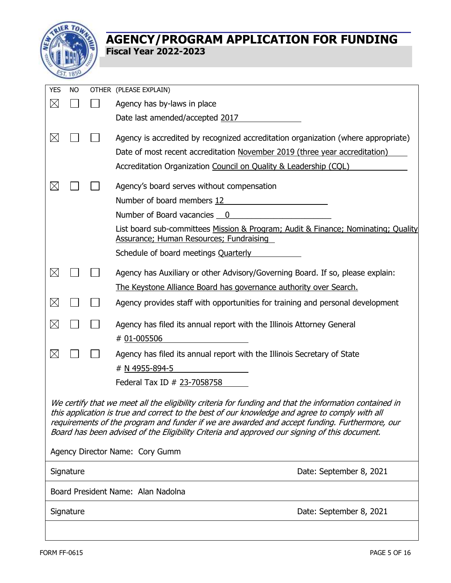

| <b>YES</b>                                                                                                                                                                                                                                                                                                                                                                                                 | <b>NO</b>                            |                                                                                           | OTHER (PLEASE EXPLAIN)                                                                                                                                          |  |  |  |  |  |
|------------------------------------------------------------------------------------------------------------------------------------------------------------------------------------------------------------------------------------------------------------------------------------------------------------------------------------------------------------------------------------------------------------|--------------------------------------|-------------------------------------------------------------------------------------------|-----------------------------------------------------------------------------------------------------------------------------------------------------------------|--|--|--|--|--|
| $\times$                                                                                                                                                                                                                                                                                                                                                                                                   |                                      |                                                                                           | Agency has by-laws in place                                                                                                                                     |  |  |  |  |  |
|                                                                                                                                                                                                                                                                                                                                                                                                            |                                      |                                                                                           | Date last amended/accepted 2017                                                                                                                                 |  |  |  |  |  |
| $\boxtimes$                                                                                                                                                                                                                                                                                                                                                                                                |                                      |                                                                                           | Agency is accredited by recognized accreditation organization (where appropriate)<br>Date of most recent accreditation November 2019 (three year accreditation) |  |  |  |  |  |
|                                                                                                                                                                                                                                                                                                                                                                                                            |                                      |                                                                                           | Accreditation Organization Council on Quality & Leadership (CQL)                                                                                                |  |  |  |  |  |
|                                                                                                                                                                                                                                                                                                                                                                                                            |                                      |                                                                                           |                                                                                                                                                                 |  |  |  |  |  |
| $\boxtimes$                                                                                                                                                                                                                                                                                                                                                                                                |                                      |                                                                                           | Agency's board serves without compensation                                                                                                                      |  |  |  |  |  |
|                                                                                                                                                                                                                                                                                                                                                                                                            |                                      |                                                                                           | Number of board members 12                                                                                                                                      |  |  |  |  |  |
|                                                                                                                                                                                                                                                                                                                                                                                                            |                                      |                                                                                           | Number of Board vacancies 0                                                                                                                                     |  |  |  |  |  |
|                                                                                                                                                                                                                                                                                                                                                                                                            |                                      |                                                                                           | List board sub-committees Mission & Program; Audit & Finance; Nominating; Quality<br><b>Assurance; Human Resources; Fundraising</b>                             |  |  |  |  |  |
|                                                                                                                                                                                                                                                                                                                                                                                                            |                                      |                                                                                           | Schedule of board meetings Quarterly                                                                                                                            |  |  |  |  |  |
| $\boxtimes$                                                                                                                                                                                                                                                                                                                                                                                                |                                      |                                                                                           | Agency has Auxiliary or other Advisory/Governing Board. If so, please explain:                                                                                  |  |  |  |  |  |
|                                                                                                                                                                                                                                                                                                                                                                                                            |                                      |                                                                                           | The Keystone Alliance Board has governance authority over Search.                                                                                               |  |  |  |  |  |
| $\times$                                                                                                                                                                                                                                                                                                                                                                                                   |                                      |                                                                                           | Agency provides staff with opportunities for training and personal development                                                                                  |  |  |  |  |  |
| $\times$                                                                                                                                                                                                                                                                                                                                                                                                   |                                      |                                                                                           | Agency has filed its annual report with the Illinois Attorney General<br># 01-005506                                                                            |  |  |  |  |  |
| $\boxtimes$                                                                                                                                                                                                                                                                                                                                                                                                |                                      | Agency has filed its annual report with the Illinois Secretary of State<br># N 4955-894-5 |                                                                                                                                                                 |  |  |  |  |  |
|                                                                                                                                                                                                                                                                                                                                                                                                            |                                      |                                                                                           | Federal Tax ID # 23-7058758                                                                                                                                     |  |  |  |  |  |
| We certify that we meet all the eligibility criteria for funding and that the information contained in<br>this application is true and correct to the best of our knowledge and agree to comply with all<br>requirements of the program and funder if we are awarded and accept funding. Furthermore, our<br>Board has been advised of the Eligibility Criteria and approved our signing of this document. |                                      |                                                                                           |                                                                                                                                                                 |  |  |  |  |  |
| Agency Director Name: Cory Gumm                                                                                                                                                                                                                                                                                                                                                                            |                                      |                                                                                           |                                                                                                                                                                 |  |  |  |  |  |
|                                                                                                                                                                                                                                                                                                                                                                                                            | Date: September 8, 2021<br>Signature |                                                                                           |                                                                                                                                                                 |  |  |  |  |  |
| Board President Name: Alan Nadolna                                                                                                                                                                                                                                                                                                                                                                         |                                      |                                                                                           |                                                                                                                                                                 |  |  |  |  |  |
|                                                                                                                                                                                                                                                                                                                                                                                                            | Date: September 8, 2021<br>Signature |                                                                                           |                                                                                                                                                                 |  |  |  |  |  |
|                                                                                                                                                                                                                                                                                                                                                                                                            |                                      |                                                                                           |                                                                                                                                                                 |  |  |  |  |  |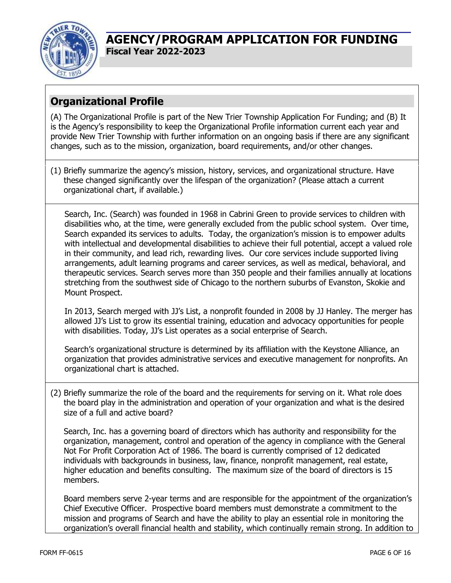

# **Organizational Profile**

(A) The Organizational Profile is part of the New Trier Township Application For Funding; and (B) It is the Agency's responsibility to keep the Organizational Profile information current each year and provide New Trier Township with further information on an ongoing basis if there are any significant changes, such as to the mission, organization, board requirements, and/or other changes.

(1) Briefly summarize the agency's mission, history, services, and organizational structure. Have these changed significantly over the lifespan of the organization? (Please attach a current organizational chart, if available.)

Search, Inc. (Search) was founded in 1968 in Cabrini Green to provide services to children with disabilities who, at the time, were generally excluded from the public school system. Over time, Search expanded its services to adults. Today, the organization's mission is to empower adults with intellectual and developmental disabilities to achieve their full potential, accept a valued role in their community, and lead rich, rewarding lives. Our core services include supported living arrangements, adult learning programs and career services, as well as medical, behavioral, and therapeutic services. Search serves more than 350 people and their families annually at locations stretching from the southwest side of Chicago to the northern suburbs of Evanston, Skokie and Mount Prospect.

In 2013, Search merged with JJ's List, a nonprofit founded in 2008 by JJ Hanley. The merger has allowed JJ's List to grow its essential training, education and advocacy opportunities for people with disabilities. Today, JJ's List operates as a social enterprise of Search.

Search's organizational structure is determined by its affiliation with the Keystone Alliance, an organization that provides administrative services and executive management for nonprofits. An organizational chart is attached.

(2) Briefly summarize the role of the board and the requirements for serving on it. What role does the board play in the administration and operation of your organization and what is the desired size of a full and active board?

Search, Inc. has a governing board of directors which has authority and responsibility for the organization, management, control and operation of the agency in compliance with the General Not For Profit Corporation Act of 1986. The board is currently comprised of 12 dedicated individuals with backgrounds in business, law, finance, nonprofit management, real estate, higher education and benefits consulting. The maximum size of the board of directors is 15 members.

Board members serve 2-year terms and are responsible for the appointment of the organization's Chief Executive Officer. Prospective board members must demonstrate a commitment to the mission and programs of Search and have the ability to play an essential role in monitoring the organization's overall financial health and stability, which continually remain strong. In addition to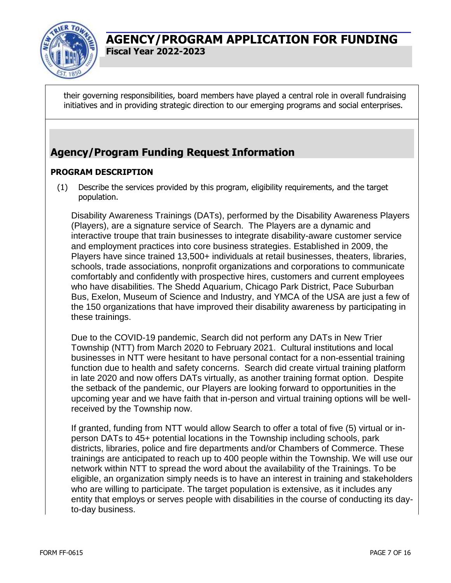

their governing responsibilities, board members have played a central role in overall fundraising initiatives and in providing strategic direction to our emerging programs and social enterprises.

# **Agency/Program Funding Request Information**

#### **PROGRAM DESCRIPTION**

(1) Describe the services provided by this program, eligibility requirements, and the target population.

Disability Awareness Trainings (DATs), performed by the Disability Awareness Players (Players), are a signature service of Search. The Players are a dynamic and interactive troupe that train businesses to integrate disability-aware customer service and employment practices into core business strategies. Established in 2009, the Players have since trained 13,500+ individuals at retail businesses, theaters, libraries, schools, trade associations, nonprofit organizations and corporations to communicate comfortably and confidently with prospective hires, customers and current employees who have disabilities. The Shedd Aquarium, Chicago Park District, Pace Suburban Bus, Exelon, Museum of Science and Industry, and YMCA of the USA are just a few of the 150 organizations that have improved their disability awareness by participating in these trainings.

Due to the COVID-19 pandemic, Search did not perform any DATs in New Trier Township (NTT) from March 2020 to February 2021. Cultural institutions and local businesses in NTT were hesitant to have personal contact for a non-essential training function due to health and safety concerns. Search did create virtual training platform in late 2020 and now offers DATs virtually, as another training format option. Despite the setback of the pandemic, our Players are looking forward to opportunities in the upcoming year and we have faith that in-person and virtual training options will be wellreceived by the Township now.

If granted, funding from NTT would allow Search to offer a total of five (5) virtual or inperson DATs to 45+ potential locations in the Township including schools, park districts, libraries, police and fire departments and/or Chambers of Commerce. These trainings are anticipated to reach up to 400 people within the Township. We will use our network within NTT to spread the word about the availability of the Trainings. To be eligible, an organization simply needs is to have an interest in training and stakeholders who are willing to participate. The target population is extensive, as it includes any entity that employs or serves people with disabilities in the course of conducting its dayto-day business.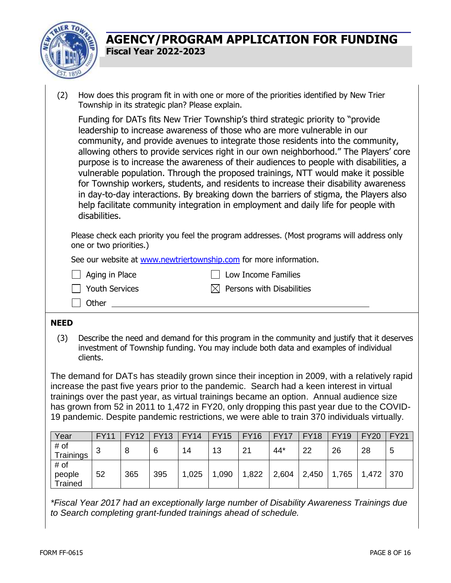

- (2) How does this program fit in with one or more of the priorities identified by New Trier Township in its strategic plan? Please explain. Funding for DATs fits New Trier Township's third strategic priority to "provide leadership to increase awareness of those who are more vulnerable in our community, and provide avenues to integrate those residents into the community, allowing others to provide services right in our own neighborhood." The Players' core purpose is to increase the awareness of their audiences to people with disabilities, a vulnerable population. Through the proposed trainings, NTT would make it possible for Township workers, students, and residents to increase their disability awareness in day-to-day interactions. By breaking down the barriers of stigma, the Players also help facilitate community integration in employment and daily life for people with disabilities. Please check each priority you feel the program addresses. (Most programs will address only one or two priorities.) See our website at [www.newtriertownship.com](http://www.newtriertownship.com/) for more information. Aging in Place Low Income Families  $\Box$  Youth Services  $\boxtimes$  Persons with Disabilities □ Other **NEED**
	- (3) Describe the need and demand for this program in the community and justify that it deserves investment of Township funding. You may include both data and examples of individual clients.

The demand for DATs has steadily grown since their inception in 2009, with a relatively rapid increase the past five years prior to the pandemic. Search had a keen interest in virtual trainings over the past year, as virtual trainings became an option. Annual audience size has grown from 52 in 2011 to 1,472 in FY20, only dropping this past year due to the COVID-19 pandemic. Despite pandemic restrictions, we were able to train 370 individuals virtually.

| Year                      | <b>FY11</b> | <b>FY12</b> | <b>FY13</b> | <b>FY14</b> | <b>FY15</b> | <b>FY16</b> | <b>FY17</b> | <b>FY18</b> | <b>FY19</b> | <b>FY20</b> | <b>FY21</b> |
|---------------------------|-------------|-------------|-------------|-------------|-------------|-------------|-------------|-------------|-------------|-------------|-------------|
| # of<br>Trainings         | ◠<br>J      | 8           | 6           | 14          | 13          | 21          | 44*         | 22          | 26          | 28          | 5           |
| # of<br>people<br>Trained | 52          | 365         | 395         | 1,025       | 1,090       | 1,822       | 2,604       | 2,450       | 1,765       | 1,472       | 370         |

*\*Fiscal Year 2017 had an exceptionally large number of Disability Awareness Trainings due to Search completing grant-funded trainings ahead of schedule.*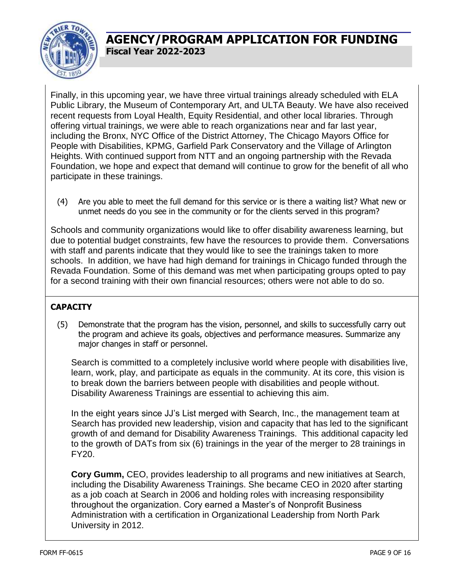

Finally, in this upcoming year, we have three virtual trainings already scheduled with ELA Public Library, the Museum of Contemporary Art, and ULTA Beauty. We have also received recent requests from Loyal Health, Equity Residential, and other local libraries. Through offering virtual trainings, we were able to reach organizations near and far last year, including the Bronx, NYC Office of the District Attorney, The Chicago Mayors Office for People with Disabilities, KPMG, Garfield Park Conservatory and the Village of Arlington Heights. With continued support from NTT and an ongoing partnership with the Revada Foundation, we hope and expect that demand will continue to grow for the benefit of all who participate in these trainings.

(4) Are you able to meet the full demand for this service or is there a waiting list? What new or unmet needs do you see in the community or for the clients served in this program?

Schools and community organizations would like to offer disability awareness learning, but due to potential budget constraints, few have the resources to provide them. Conversations with staff and parents indicate that they would like to see the trainings taken to more schools. In addition, we have had high demand for trainings in Chicago funded through the Revada Foundation. Some of this demand was met when participating groups opted to pay for a second training with their own financial resources; others were not able to do so.

#### **CAPACITY**

(5) Demonstrate that the program has the vision, personnel, and skills to successfully carry out the program and achieve its goals, objectives and performance measures. Summarize any major changes in staff or personnel.

Search is committed to a completely inclusive world where people with disabilities live, learn, work, play, and participate as equals in the community. At its core, this vision is to break down the barriers between people with disabilities and people without. Disability Awareness Trainings are essential to achieving this aim.

In the eight years since JJ's List merged with Search, Inc., the management team at Search has provided new leadership, vision and capacity that has led to the significant growth of and demand for Disability Awareness Trainings. This additional capacity led to the growth of DATs from six (6) trainings in the year of the merger to 28 trainings in FY20.

**Cory Gumm,** CEO, provides leadership to all programs and new initiatives at Search, including the Disability Awareness Trainings. She became CEO in 2020 after starting as a job coach at Search in 2006 and holding roles with increasing responsibility throughout the organization. Cory earned a Master's of Nonprofit Business Administration with a certification in Organizational Leadership from North Park University in 2012.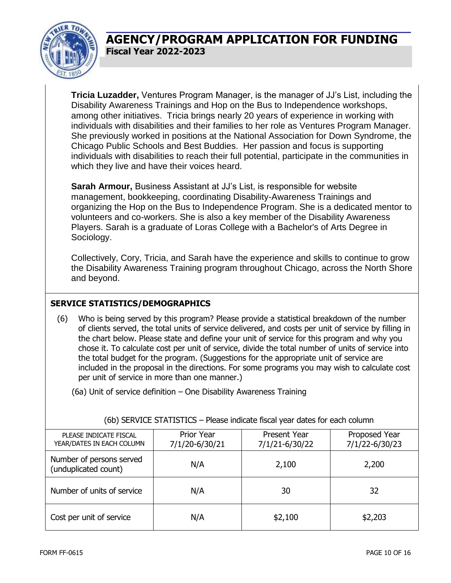

**Tricia Luzadder,** Ventures Program Manager, is the manager of JJ's List, including the Disability Awareness Trainings and Hop on the Bus to Independence workshops, among other initiatives. Tricia brings nearly 20 years of experience in working with individuals with disabilities and their families to her role as Ventures Program Manager. She previously worked in positions at the National Association for Down Syndrome, the Chicago Public Schools and Best Buddies. Her passion and focus is supporting individuals with disabilities to reach their full potential, participate in the communities in which they live and have their voices heard.

**Sarah Armour,** Business Assistant at JJ's List, is responsible for website management, bookkeeping, coordinating Disability-Awareness Trainings and organizing the Hop on the Bus to Independence Program. She is a dedicated mentor to volunteers and co-workers. She is also a key member of the Disability Awareness Players. Sarah is a graduate of Loras College with a Bachelor's of Arts Degree in Sociology.

Collectively, Cory, Tricia, and Sarah have the experience and skills to continue to grow the Disability Awareness Training program throughout Chicago, across the North Shore and beyond.

#### **SERVICE STATISTICS/DEMOGRAPHICS**

(6) Who is being served by this program? Please provide a statistical breakdown of the number of clients served, the total units of service delivered, and costs per unit of service by filling in the chart below. Please state and define your unit of service for this program and why you chose it. To calculate cost per unit of service, divide the total number of units of service into the total budget for the program. (Suggestions for the appropriate unit of service are included in the proposal in the directions. For some programs you may wish to calculate cost per unit of service in more than one manner.)

(6a) Unit of service definition – One Disability Awareness Training

| PLEASE INDICATE FISCAL<br>YEAR/DATES IN EACH COLUMN | <b>Prior Year</b><br>7/1/20-6/30/21 | Present Year<br>7/1/21-6/30/22 | Proposed Year<br>7/1/22-6/30/23 |  |
|-----------------------------------------------------|-------------------------------------|--------------------------------|---------------------------------|--|
| Number of persons served<br>(unduplicated count)    | N/A                                 | 2,100                          | 2,200                           |  |
| Number of units of service                          | N/A                                 | 30                             | 32                              |  |
| Cost per unit of service                            | N/A                                 | \$2,100                        | \$2,203                         |  |

(6b) SERVICE STATISTICS – Please indicate fiscal year dates for each column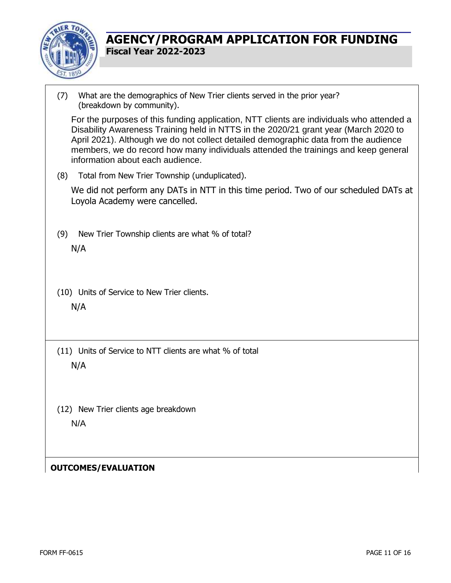

(7) What are the demographics of New Trier clients served in the prior year? (breakdown by community). For the purposes of this funding application, NTT clients are individuals who attended a Disability Awareness Training held in NTTS in the 2020/21 grant year (March 2020 to April 2021). Although we do not collect detailed demographic data from the audience members, we do record how many individuals attended the trainings and keep general information about each audience. (8) Total from New Trier Township (unduplicated). We did not perform any DATs in NTT in this time period. Two of our scheduled DATs at Loyola Academy were cancelled. (9) New Trier Township clients are what % of total? N/A (10) Units of Service to New Trier clients. N/A (11) Units of Service to NTT clients are what % of total N/A (12) New Trier clients age breakdown N/A

#### **OUTCOMES/EVALUATION**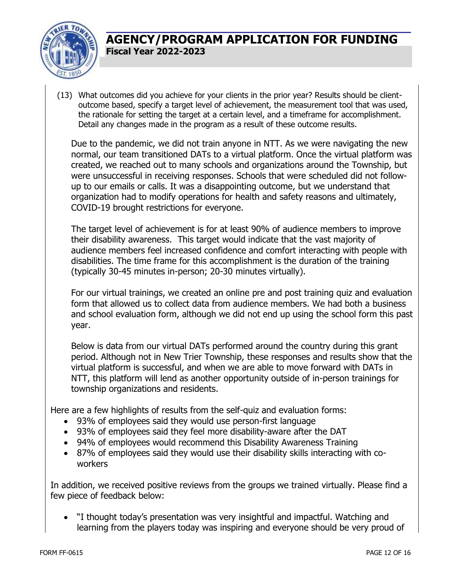

(13) What outcomes did you achieve for your clients in the prior year? Results should be clientoutcome based, specify a target level of achievement, the measurement tool that was used, the rationale for setting the target at a certain level, and a timeframe for accomplishment. Detail any changes made in the program as a result of these outcome results.

Due to the pandemic, we did not train anyone in NTT. As we were navigating the new normal, our team transitioned DATs to a virtual platform. Once the virtual platform was created, we reached out to many schools and organizations around the Township, but were unsuccessful in receiving responses. Schools that were scheduled did not followup to our emails or calls. It was a disappointing outcome, but we understand that organization had to modify operations for health and safety reasons and ultimately, COVID-19 brought restrictions for everyone.

The target level of achievement is for at least 90% of audience members to improve their disability awareness. This target would indicate that the vast majority of audience members feel increased confidence and comfort interacting with people with disabilities. The time frame for this accomplishment is the duration of the training (typically 30-45 minutes in-person; 20-30 minutes virtually).

For our virtual trainings, we created an online pre and post training quiz and evaluation form that allowed us to collect data from audience members. We had both a business and school evaluation form, although we did not end up using the school form this past year.

Below is data from our virtual DATs performed around the country during this grant period. Although not in New Trier Township, these responses and results show that the virtual platform is successful, and when we are able to move forward with DATs in NTT, this platform will lend as another opportunity outside of in-person trainings for township organizations and residents.

Here are a few highlights of results from the self-quiz and evaluation forms:

- 93% of employees said they would use person-first language
- 93% of employees said they feel more disability-aware after the DAT
- 94% of employees would recommend this Disability Awareness Training
- 87% of employees said they would use their disability skills interacting with coworkers

In addition, we received positive reviews from the groups we trained virtually. Please find a few piece of feedback below:

 "I thought today's presentation was very insightful and impactful. Watching and learning from the players today was inspiring and everyone should be very proud of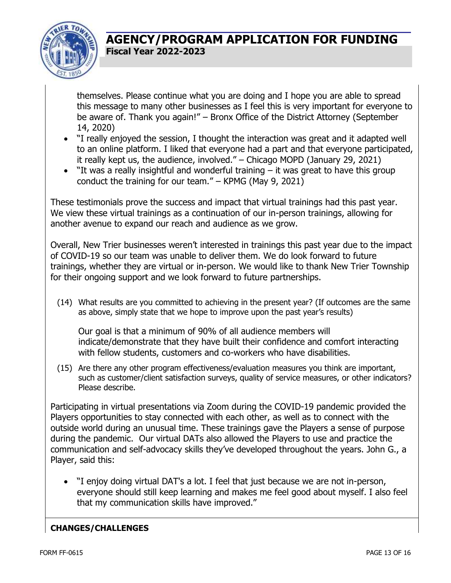

themselves. Please continue what you are doing and I hope you are able to spread this message to many other businesses as I feel this is very important for everyone to be aware of. Thank you again!" – Bronx Office of the District Attorney (September 14, 2020)

- "I really enjoyed the session, I thought the interaction was great and it adapted well to an online platform. I liked that everyone had a part and that everyone participated, it really kept us, the audience, involved." – Chicago MOPD (January 29, 2021)
- "It was a really insightful and wonderful training it was great to have this group conduct the training for our team." – KPMG (May 9, 2021)

These testimonials prove the success and impact that virtual trainings had this past year. We view these virtual trainings as a continuation of our in-person trainings, allowing for another avenue to expand our reach and audience as we grow.

Overall, New Trier businesses weren't interested in trainings this past year due to the impact of COVID-19 so our team was unable to deliver them. We do look forward to future trainings, whether they are virtual or in-person. We would like to thank New Trier Township for their ongoing support and we look forward to future partnerships.

(14) What results are you committed to achieving in the present year? (If outcomes are the same as above, simply state that we hope to improve upon the past year's results)

Our goal is that a minimum of 90% of all audience members will indicate/demonstrate that they have built their confidence and comfort interacting with fellow students, customers and co-workers who have disabilities.

(15) Are there any other program effectiveness/evaluation measures you think are important, such as customer/client satisfaction surveys, quality of service measures, or other indicators? Please describe.

Participating in virtual presentations via Zoom during the COVID-19 pandemic provided the Players opportunities to stay connected with each other, as well as to connect with the outside world during an unusual time. These trainings gave the Players a sense of purpose during the pandemic. Our virtual DATs also allowed the Players to use and practice the communication and self-advocacy skills they've developed throughout the years. John G., a Player, said this:

 "I enjoy doing virtual DAT's a lot. I feel that just because we are not in-person, everyone should still keep learning and makes me feel good about myself. I also feel that my communication skills have improved."

#### **CHANGES/CHALLENGES**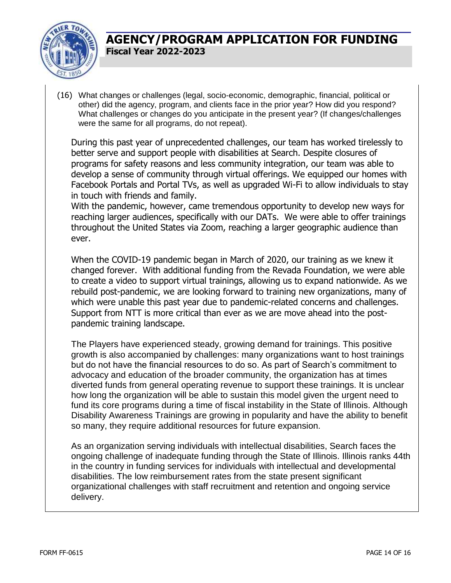

(16) What changes or challenges (legal, socio-economic, demographic, financial, political or other) did the agency, program, and clients face in the prior year? How did you respond? What challenges or changes do you anticipate in the present year? (If changes/challenges were the same for all programs, do not repeat).

During this past year of unprecedented challenges, our team has worked tirelessly to better serve and support people with disabilities at Search. Despite closures of programs for safety reasons and less community integration, our team was able to develop a sense of community through virtual offerings. We equipped our homes with Facebook Portals and Portal TVs, as well as upgraded Wi-Fi to allow individuals to stay in touch with friends and family.

With the pandemic, however, came tremendous opportunity to develop new ways for reaching larger audiences, specifically with our DATs. We were able to offer trainings throughout the United States via Zoom, reaching a larger geographic audience than ever.

When the COVID-19 pandemic began in March of 2020, our training as we knew it changed forever. With additional funding from the Revada Foundation, we were able to create a video to support virtual trainings, allowing us to expand nationwide. As we rebuild post-pandemic, we are looking forward to training new organizations, many of which were unable this past year due to pandemic-related concerns and challenges. Support from NTT is more critical than ever as we are move ahead into the postpandemic training landscape.

The Players have experienced steady, growing demand for trainings. This positive growth is also accompanied by challenges: many organizations want to host trainings but do not have the financial resources to do so. As part of Search's commitment to advocacy and education of the broader community, the organization has at times diverted funds from general operating revenue to support these trainings. It is unclear how long the organization will be able to sustain this model given the urgent need to fund its core programs during a time of fiscal instability in the State of Illinois. Although Disability Awareness Trainings are growing in popularity and have the ability to benefit so many, they require additional resources for future expansion.

As an organization serving individuals with intellectual disabilities, Search faces the ongoing challenge of inadequate funding through the State of Illinois. Illinois ranks 44th in the country in funding services for individuals with intellectual and developmental disabilities. The low reimbursement rates from the state present significant organizational challenges with staff recruitment and retention and ongoing service delivery.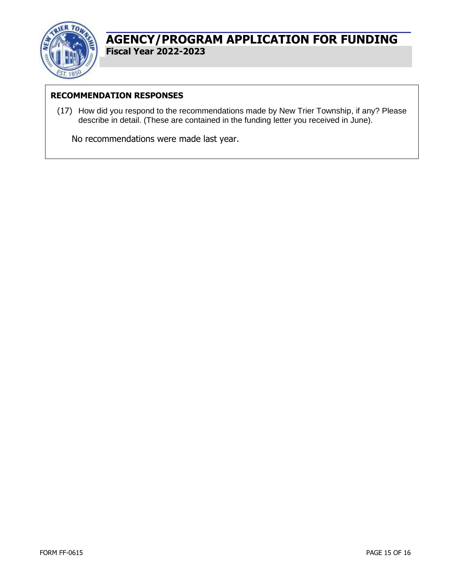

#### **RECOMMENDATION RESPONSES**

(17) How did you respond to the recommendations made by New Trier Township, if any? Please describe in detail. (These are contained in the funding letter you received in June).

No recommendations were made last year.